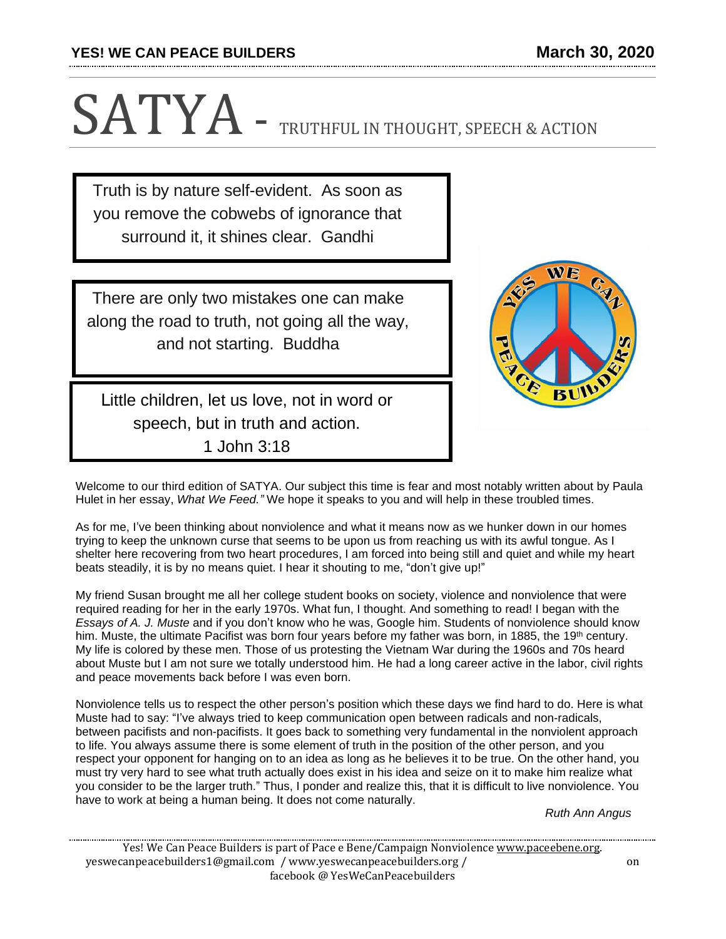## SATYA - TRUTHFUL IN THOUGHT, SPEECH & ACTION

Truth is by nature self-evident. As soon as you remove the cobwebs of ignorance that surround it, it shines clear. Gandhi

There are only two mistakes one can make along the road to truth, not going all the way, and not starting. Buddha



Little children, let us love, not in word or speech, but in truth and action. 1 John 3:18

Welcome to our third edition of SATYA. Our subject this time is fear and most notably written about by Paula Hulet in her essay, *What We Feed."* We hope it speaks to you and will help in these troubled times.

As for me, I've been thinking about nonviolence and what it means now as we hunker down in our homes trying to keep the unknown curse that seems to be upon us from reaching us with its awful tongue. As I shelter here recovering from two heart procedures, I am forced into being still and quiet and while my heart beats steadily, it is by no means quiet. I hear it shouting to me, "don't give up!"

My friend Susan brought me all her college student books on society, violence and nonviolence that were required reading for her in the early 1970s. What fun, I thought. And something to read! I began with the *Essays of A. J. Muste* and if you don't know who he was, Google him. Students of nonviolence should know him. Muste, the ultimate Pacifist was born four years before my father was born, in 1885, the 19<sup>th</sup> century. My life is colored by these men. Those of us protesting the Vietnam War during the 1960s and 70s heard about Muste but I am not sure we totally understood him. He had a long career active in the labor, civil rights and peace movements back before I was even born.

Nonviolence tells us to respect the other person's position which these days we find hard to do. Here is what Muste had to say: "I've always tried to keep communication open between radicals and non-radicals, between pacifists and non-pacifists. It goes back to something very fundamental in the nonviolent approach to life. You always assume there is some element of truth in the position of the other person, and you respect your opponent for hanging on to an idea as long as he believes it to be true. On the other hand, you must try very hard to see what truth actually does exist in his idea and seize on it to make him realize what you consider to be the larger truth." Thus, I ponder and realize this, that it is difficult to live nonviolence. You have to work at being a human being. It does not come naturally.

*Ruth Ann Angus*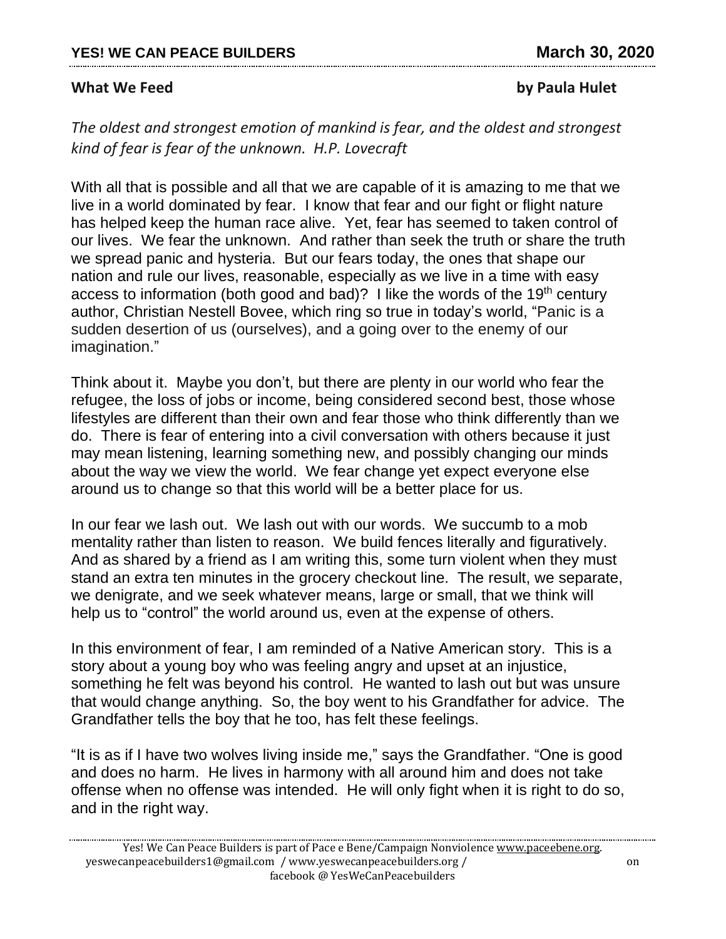## **What We Feed by Paula Hulet**

*The oldest and strongest emotion of mankind is fear, and the oldest and strongest kind of fear is fear of the unknown. H.P. Lovecraft*

With all that is possible and all that we are capable of it is amazing to me that we live in a world dominated by fear. I know that fear and our fight or flight nature has helped keep the human race alive. Yet, fear has seemed to taken control of our lives. We fear the unknown. And rather than seek the truth or share the truth we spread panic and hysteria. But our fears today, the ones that shape our nation and rule our lives, reasonable, especially as we live in a time with easy access to information (both good and bad)? I like the words of the 19<sup>th</sup> century author, Christian Nestell Bovee, which ring so true in today's world, "Panic is a sudden desertion of us (ourselves), and a going over to the enemy of our imagination."

Think about it. Maybe you don't, but there are plenty in our world who fear the refugee, the loss of jobs or income, being considered second best, those whose lifestyles are different than their own and fear those who think differently than we do. There is fear of entering into a civil conversation with others because it just may mean listening, learning something new, and possibly changing our minds about the way we view the world. We fear change yet expect everyone else around us to change so that this world will be a better place for us.

In our fear we lash out. We lash out with our words. We succumb to a mob mentality rather than listen to reason. We build fences literally and figuratively. And as shared by a friend as I am writing this, some turn violent when they must stand an extra ten minutes in the grocery checkout line. The result, we separate, we denigrate, and we seek whatever means, large or small, that we think will help us to "control" the world around us, even at the expense of others.

In this environment of fear, I am reminded of a Native American story. This is a story about a young boy who was feeling angry and upset at an injustice, something he felt was beyond his control. He wanted to lash out but was unsure that would change anything. So, the boy went to his Grandfather for advice. The Grandfather tells the boy that he too, has felt these feelings.

"It is as if I have two wolves living inside me," says the Grandfather. "One is good and does no harm. He lives in harmony with all around him and does not take offense when no offense was intended. He will only fight when it is right to do so, and in the right way.